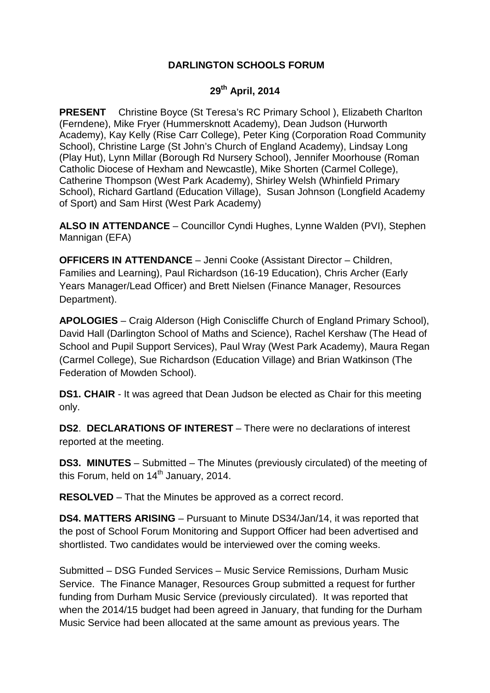## **DARLINGTON SCHOOLS FORUM**

## **29th April, 2014**

**PRESENT** Christine Boyce (St Teresa's RC Primary School ), Elizabeth Charlton (Ferndene), Mike Fryer (Hummersknott Academy), Dean Judson (Hurworth Academy), Kay Kelly (Rise Carr College), Peter King (Corporation Road Community School), Christine Large (St John's Church of England Academy), Lindsay Long (Play Hut), Lynn Millar (Borough Rd Nursery School), Jennifer Moorhouse (Roman Catholic Diocese of Hexham and Newcastle), Mike Shorten (Carmel College), Catherine Thompson (West Park Academy), Shirley Welsh (Whinfield Primary School), Richard Gartland (Education Village), Susan Johnson (Longfield Academy of Sport) and Sam Hirst (West Park Academy)

**ALSO IN ATTENDANCE** – Councillor Cyndi Hughes, Lynne Walden (PVI), Stephen Mannigan (EFA)

**OFFICERS IN ATTENDANCE** – Jenni Cooke (Assistant Director – Children, Families and Learning), Paul Richardson (16-19 Education), Chris Archer (Early Years Manager/Lead Officer) and Brett Nielsen (Finance Manager, Resources Department).

**APOLOGIES** – Craig Alderson (High Coniscliffe Church of England Primary School), David Hall (Darlington School of Maths and Science), Rachel Kershaw (The Head of School and Pupil Support Services), Paul Wray (West Park Academy), Maura Regan (Carmel College), Sue Richardson (Education Village) and Brian Watkinson (The Federation of Mowden School).

**DS1. CHAIR** - It was agreed that Dean Judson be elected as Chair for this meeting only.

**DS2**. **DECLARATIONS OF INTEREST** – There were no declarations of interest reported at the meeting.

**DS3. MINUTES** – Submitted – The Minutes (previously circulated) of the meeting of this Forum, held on  $14<sup>th</sup>$  January, 2014.

**RESOLVED** – That the Minutes be approved as a correct record.

**DS4. MATTERS ARISING** – Pursuant to Minute DS34/Jan/14, it was reported that the post of School Forum Monitoring and Support Officer had been advertised and shortlisted. Two candidates would be interviewed over the coming weeks.

Submitted – DSG Funded Services – Music Service Remissions, Durham Music Service. The Finance Manager, Resources Group submitted a request for further funding from Durham Music Service (previously circulated). It was reported that when the 2014/15 budget had been agreed in January, that funding for the Durham Music Service had been allocated at the same amount as previous years. The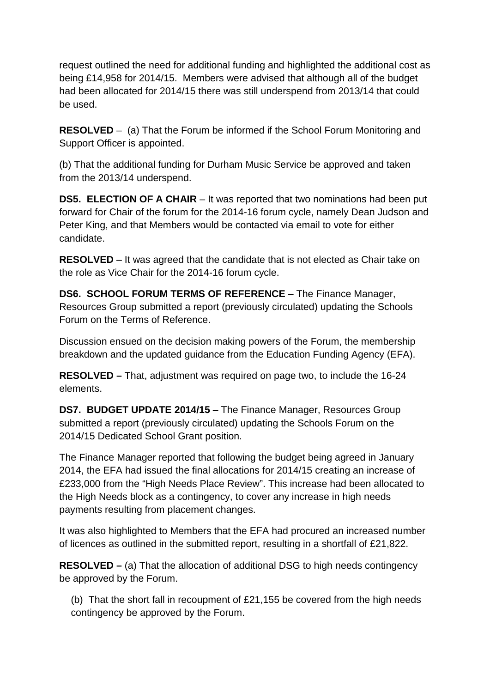request outlined the need for additional funding and highlighted the additional cost as being £14,958 for 2014/15. Members were advised that although all of the budget had been allocated for 2014/15 there was still underspend from 2013/14 that could be used.

**RESOLVED** – (a) That the Forum be informed if the School Forum Monitoring and Support Officer is appointed.

(b) That the additional funding for Durham Music Service be approved and taken from the 2013/14 underspend.

**DS5. ELECTION OF A CHAIR** – It was reported that two nominations had been put forward for Chair of the forum for the 2014-16 forum cycle, namely Dean Judson and Peter King, and that Members would be contacted via email to vote for either candidate.

**RESOLVED** – It was agreed that the candidate that is not elected as Chair take on the role as Vice Chair for the 2014-16 forum cycle.

**DS6. SCHOOL FORUM TERMS OF REFERENCE** – The Finance Manager, Resources Group submitted a report (previously circulated) updating the Schools Forum on the Terms of Reference.

Discussion ensued on the decision making powers of the Forum, the membership breakdown and the updated guidance from the Education Funding Agency (EFA).

**RESOLVED –** That, adjustment was required on page two, to include the 16-24 elements.

**DS7. BUDGET UPDATE 2014/15** – The Finance Manager, Resources Group submitted a report (previously circulated) updating the Schools Forum on the 2014/15 Dedicated School Grant position.

The Finance Manager reported that following the budget being agreed in January 2014, the EFA had issued the final allocations for 2014/15 creating an increase of £233,000 from the "High Needs Place Review". This increase had been allocated to the High Needs block as a contingency, to cover any increase in high needs payments resulting from placement changes.

It was also highlighted to Members that the EFA had procured an increased number of licences as outlined in the submitted report, resulting in a shortfall of £21,822.

**RESOLVED –** (a) That the allocation of additional DSG to high needs contingency be approved by the Forum.

(b) That the short fall in recoupment of £21,155 be covered from the high needs contingency be approved by the Forum.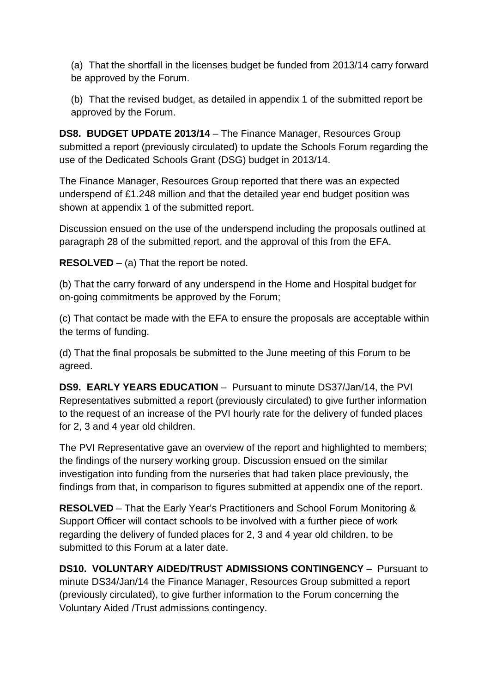(a) That the shortfall in the licenses budget be funded from 2013/14 carry forward be approved by the Forum.

(b) That the revised budget, as detailed in appendix 1 of the submitted report be approved by the Forum.

**DS8. BUDGET UPDATE 2013/14** – The Finance Manager, Resources Group submitted a report (previously circulated) to update the Schools Forum regarding the use of the Dedicated Schools Grant (DSG) budget in 2013/14.

The Finance Manager, Resources Group reported that there was an expected underspend of £1.248 million and that the detailed year end budget position was shown at appendix 1 of the submitted report.

Discussion ensued on the use of the underspend including the proposals outlined at paragraph 28 of the submitted report, and the approval of this from the EFA.

**RESOLVED** – (a) That the report be noted.

(b) That the carry forward of any underspend in the Home and Hospital budget for on-going commitments be approved by the Forum;

(c) That contact be made with the EFA to ensure the proposals are acceptable within the terms of funding.

(d) That the final proposals be submitted to the June meeting of this Forum to be agreed.

**DS9. EARLY YEARS EDUCATION** – Pursuant to minute DS37/Jan/14, the PVI Representatives submitted a report (previously circulated) to give further information to the request of an increase of the PVI hourly rate for the delivery of funded places for 2, 3 and 4 year old children.

The PVI Representative gave an overview of the report and highlighted to members; the findings of the nursery working group. Discussion ensued on the similar investigation into funding from the nurseries that had taken place previously, the findings from that, in comparison to figures submitted at appendix one of the report.

**RESOLVED** – That the Early Year's Practitioners and School Forum Monitoring & Support Officer will contact schools to be involved with a further piece of work regarding the delivery of funded places for 2, 3 and 4 year old children, to be submitted to this Forum at a later date.

**DS10. VOLUNTARY AIDED/TRUST ADMISSIONS CONTINGENCY** – Pursuant to minute DS34/Jan/14 the Finance Manager, Resources Group submitted a report (previously circulated), to give further information to the Forum concerning the Voluntary Aided /Trust admissions contingency.